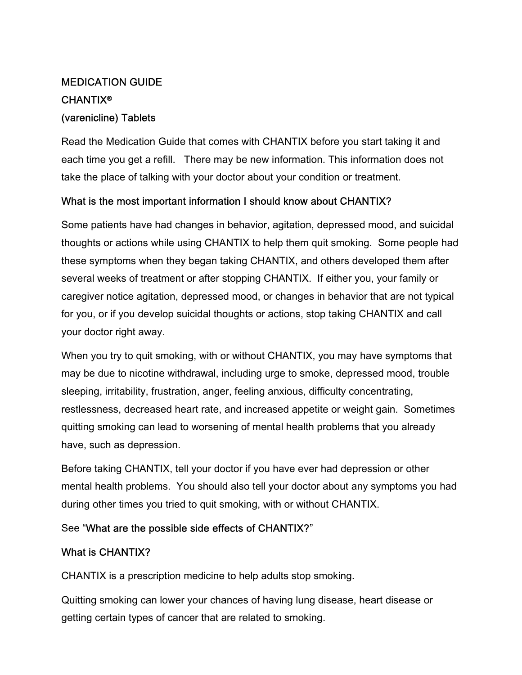# MEDICATION GUIDE CHANTIX®

## (varenicline) Tablets

Read the Medication Guide that comes with CHANTIX before you start taking it and each time you get a refill. There may be new information. This information does not take the place of talking with your doctor about your condition or treatment.

## What is the most important information I should know about CHANTIX?

Some patients have had changes in behavior, agitation, depressed mood, and suicidal thoughts or actions while using CHANTIX to help them quit smoking. Some people had these symptoms when they began taking CHANTIX, and others developed them after several weeks of treatment or after stopping CHANTIX. If either you, your family or caregiver notice agitation, depressed mood, or changes in behavior that are not typical for you, or if you develop suicidal thoughts or actions, stop taking CHANTIX and call your doctor right away.

When you try to quit smoking, with or without CHANTIX, you may have symptoms that may be due to nicotine withdrawal, including urge to smoke, depressed mood, trouble sleeping, irritability, frustration, anger, feeling anxious, difficulty concentrating, restlessness, decreased heart rate, and increased appetite or weight gain. Sometimes quitting smoking can lead to worsening of mental health problems that you already have, such as depression.

Before taking CHANTIX, tell your doctor if you have ever had depression or other mental health problems. You should also tell your doctor about any symptoms you had during other times you tried to quit smoking, with or without CHANTIX.

## See "What are the possible side effects of CHANTIX?"

## What is CHANTIX?

CHANTIX is a prescription medicine to help adults stop smoking.

Quitting smoking can lower your chances of having lung disease, heart disease or getting certain types of cancer that are related to smoking.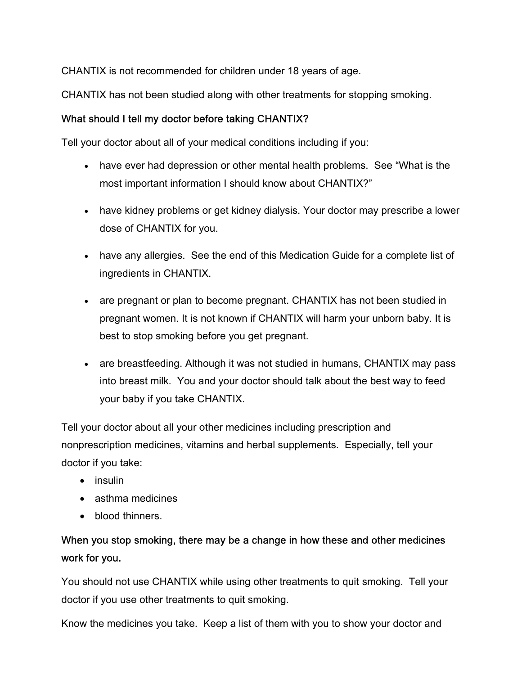CHANTIX is not recommended for children under 18 years of age.

CHANTIX has not been studied along with other treatments for stopping smoking.

## What should I tell my doctor before taking CHANTIX?

Tell your doctor about all of your medical conditions including if you:

- have ever had depression or other mental health problems. See "What is the most important information I should know about CHANTIX?"
- have kidney problems or get kidney dialysis. Your doctor may prescribe a lower dose of CHANTIX for you.
- have any allergies. See the end of this Medication Guide for a complete list of ingredients in CHANTIX.
- are pregnant or plan to become pregnant. CHANTIX has not been studied in pregnant women. It is not known if CHANTIX will harm your unborn baby. It is best to stop smoking before you get pregnant.
- are breastfeeding. Although it was not studied in humans, CHANTIX may pass into breast milk. You and your doctor should talk about the best way to feed your baby if you take CHANTIX.

Tell your doctor about all your other medicines including prescription and nonprescription medicines, vitamins and herbal supplements. Especially, tell your doctor if you take:

- insulin
- asthma medicines
- blood thinners.

## When you stop smoking, there may be a change in how these and other medicines work for you.

You should not use CHANTIX while using other treatments to quit smoking. Tell your doctor if you use other treatments to quit smoking.

Know the medicines you take. Keep a list of them with you to show your doctor and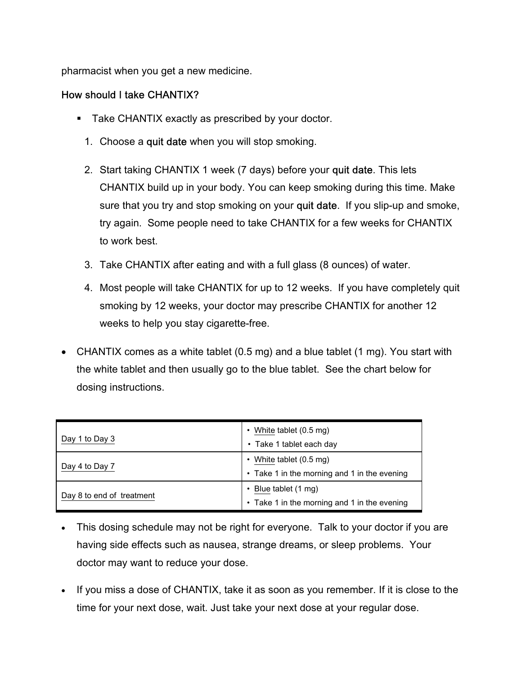pharmacist when you get a new medicine.

## How should I take CHANTIX?

- **Take CHANTIX exactly as prescribed by your doctor.** 
	- 1. Choose a quit date when you will stop smoking.
	- 2. Start taking CHANTIX 1 week (7 days) before your quit date. This lets CHANTIX build up in your body. You can keep smoking during this time. Make sure that you try and stop smoking on your quit date. If you slip-up and smoke, try again. Some people need to take CHANTIX for a few weeks for CHANTIX to work best.
	- 3. Take CHANTIX after eating and with a full glass (8 ounces) of water.
	- 4. Most people will take CHANTIX for up to 12 weeks. If you have completely quit smoking by 12 weeks, your doctor may prescribe CHANTIX for another 12 weeks to help you stay cigarette-free.
- CHANTIX comes as a white tablet (0.5 mg) and a blue tablet (1 mg). You start with the white tablet and then usually go to the blue tablet. See the chart below for dosing instructions.

| Day 1 to Day 3            | White tablet (0.5 mg)<br>• Take 1 tablet each day                     |
|---------------------------|-----------------------------------------------------------------------|
| Day 4 to Day 7            | White tablet (0.5 mg)<br>• Take 1 in the morning and 1 in the evening |
| Day 8 to end of treatment | Blue tablet (1 mg)<br>• Take 1 in the morning and 1 in the evening    |

- This dosing schedule may not be right for everyone. Talk to your doctor if you are having side effects such as nausea, strange dreams, or sleep problems. Your doctor may want to reduce your dose.
- If you miss a dose of CHANTIX, take it as soon as you remember. If it is close to the time for your next dose, wait. Just take your next dose at your regular dose.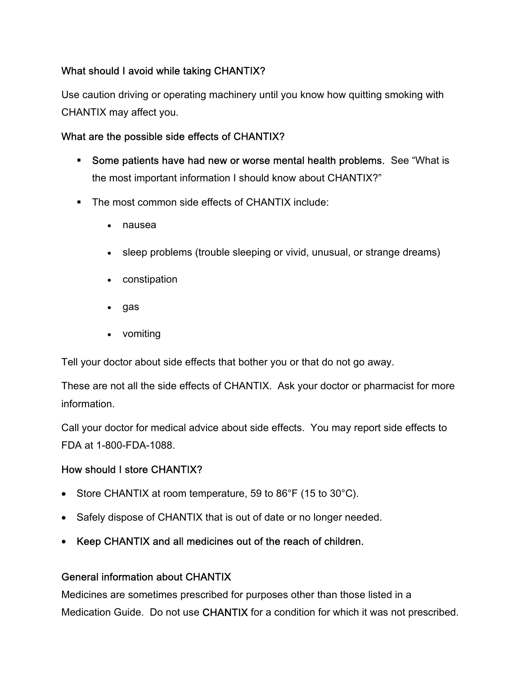## What should I avoid while taking CHANTIX?

Use caution driving or operating machinery until you know how quitting smoking with CHANTIX may affect you.

## What are the possible side effects of CHANTIX?

- **Some patients have had new or worse mental health problems.** See "What is the most important information I should know about CHANTIX?"
- The most common side effects of CHANTIX include:
	- nausea
	- sleep problems (trouble sleeping or vivid, unusual, or strange dreams)
	- constipation
	- gas
	- vomiting

Tell your doctor about side effects that bother you or that do not go away.

These are not all the side effects of CHANTIX. Ask your doctor or pharmacist for more information.

Call your doctor for medical advice about side effects. You may report side effects to FDA at 1-800-FDA-1088.

## How should I store CHANTIX?

- Store CHANTIX at room temperature, 59 to 86°F (15 to 30°C).
- Safely dispose of CHANTIX that is out of date or no longer needed.
- Keep CHANTIX and all medicines out of the reach of children.

## General information about CHANTIX

Medicines are sometimes prescribed for purposes other than those listed in a Medication Guide. Do not use CHANTIX for a condition for which it was not prescribed.